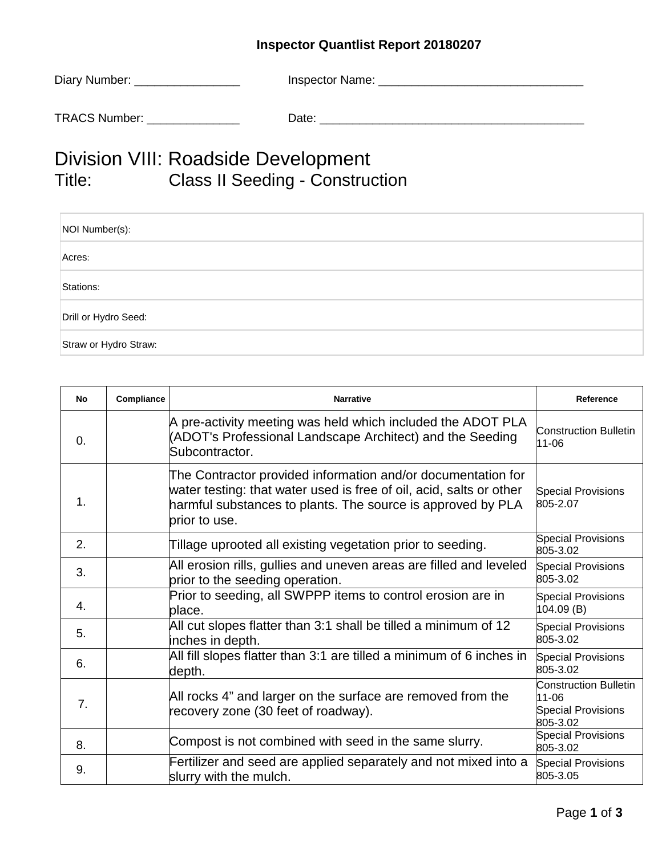## **Inspector Quantlist Report 20180207**

| Diary Number: | Inspector Name: |
|---------------|-----------------|
| TRACS Number: | Date:           |

## Division VIII: Roadside Development<br>Title: Class II Seeding - Construct Class II Seeding - Construction

| NOI Number(s):        |
|-----------------------|
| Acres:                |
| Stations:             |
| Drill or Hydro Seed:  |
| Straw or Hydro Straw: |

| <b>No</b>      | Compliance | <b>Narrative</b>                                                                                                                                                                                                    | Reference                                                                      |
|----------------|------------|---------------------------------------------------------------------------------------------------------------------------------------------------------------------------------------------------------------------|--------------------------------------------------------------------------------|
| $\Omega$ .     |            | A pre-activity meeting was held which included the ADOT PLA<br>(ADOT's Professional Landscape Architect) and the Seeding<br>Subcontractor.                                                                          | <b>Construction Bulletin</b><br>11-06                                          |
| 1.             |            | The Contractor provided information and/or documentation for<br>water testing: that water used is free of oil, acid, salts or other<br>harmful substances to plants. The source is approved by PLA<br>brior to use. | <b>Special Provisions</b><br>805-2.07                                          |
| 2.             |            | Tillage uprooted all existing vegetation prior to seeding.                                                                                                                                                          | <b>Special Provisions</b><br>805-3.02                                          |
| 3.             |            | All erosion rills, gullies and uneven areas are filled and leveled<br>prior to the seeding operation.                                                                                                               | <b>Special Provisions</b><br>805-3.02                                          |
| 4.             |            | Prior to seeding, all SWPPP items to control erosion are in<br>place.                                                                                                                                               | <b>Special Provisions</b><br>104.09(B)                                         |
| 5.             |            | All cut slopes flatter than 3:1 shall be tilled a minimum of 12<br>inches in depth.                                                                                                                                 | <b>Special Provisions</b><br>805-3.02                                          |
| 6.             |            | All fill slopes flatter than 3:1 are tilled a minimum of 6 inches in<br>depth.                                                                                                                                      | <b>Special Provisions</b><br>805-3.02                                          |
| 7 <sub>1</sub> |            | All rocks 4" and larger on the surface are removed from the<br>recovery zone (30 feet of roadway).                                                                                                                  | <b>Construction Bulletin</b><br>11-06<br><b>Special Provisions</b><br>805-3.02 |
| 8.             |            | Compost is not combined with seed in the same slurry.                                                                                                                                                               | <b>Special Provisions</b><br>805-3.02                                          |
| 9.             |            | Fertilizer and seed are applied separately and not mixed into a<br>slurry with the mulch.                                                                                                                           | <b>Special Provisions</b><br>805-3.05                                          |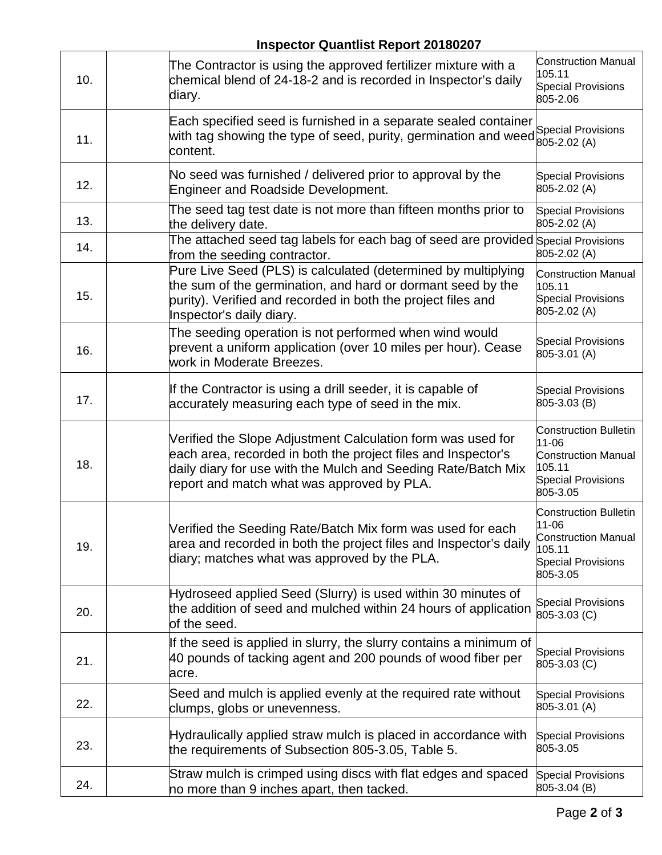| 10. | The Contractor is using the approved fertilizer mixture with a<br>chemical blend of 24-18-2 and is recorded in Inspector's daily<br>diary.                                                                                                  | <b>Construction Manual</b><br>105.11<br><b>Special Provisions</b><br>805-2.06                                          |
|-----|---------------------------------------------------------------------------------------------------------------------------------------------------------------------------------------------------------------------------------------------|------------------------------------------------------------------------------------------------------------------------|
| 11. | Each specified seed is furnished in a separate sealed container<br>with tag showing the type of seed, purity, germination and weed<br>content.                                                                                              | <b>Special Provisions</b><br>805-2.02 (A)                                                                              |
| 12. | No seed was furnished / delivered prior to approval by the<br><b>Engineer and Roadside Development.</b>                                                                                                                                     | <b>Special Provisions</b><br>805-2.02 (A)                                                                              |
| 13. | The seed tag test date is not more than fifteen months prior to<br>the delivery date.                                                                                                                                                       | <b>Special Provisions</b><br>805-2.02 (A)                                                                              |
| 14. | The attached seed tag labels for each bag of seed are provided Special Provisions<br>from the seeding contractor.                                                                                                                           | 805-2.02 (A)                                                                                                           |
| 15. | Pure Live Seed (PLS) is calculated (determined by multiplying<br>the sum of the germination, and hard or dormant seed by the<br>purity). Verified and recorded in both the project files and<br>Inspector's daily diary.                    | <b>Construction Manual</b><br>105.11<br><b>Special Provisions</b><br>805-2.02 (A)                                      |
| 16. | The seeding operation is not performed when wind would<br>prevent a uniform application (over 10 miles per hour). Cease<br>work in Moderate Breezes.                                                                                        | <b>Special Provisions</b><br>805-3.01 (A)                                                                              |
| 17. | If the Contractor is using a drill seeder, it is capable of<br>accurately measuring each type of seed in the mix.                                                                                                                           | <b>Special Provisions</b><br>805-3.03 (B)                                                                              |
| 18. | Verified the Slope Adjustment Calculation form was used for<br>each area, recorded in both the project files and Inspector's<br>daily diary for use with the Mulch and Seeding Rate/Batch Mix<br>report and match what was approved by PLA. | <b>Construction Bulletin</b><br>11-06<br><b>Construction Manual</b><br>105.11<br><b>Special Provisions</b><br>805-3.05 |
| 19. | Verified the Seeding Rate/Batch Mix form was used for each<br>area and recorded in both the project files and Inspector's daily<br>diary; matches what was approved by the PLA.                                                             | <b>Construction Bulletin</b><br>11-06<br><b>Construction Manual</b><br>105.11<br><b>Special Provisions</b><br>805-3.05 |
| 20. | Hydroseed applied Seed (Slurry) is used within 30 minutes of<br>the addition of seed and mulched within 24 hours of application<br>of the seed.                                                                                             | <b>Special Provisions</b><br>805-3.03 (C)                                                                              |
| 21. | If the seed is applied in slurry, the slurry contains a minimum of<br>40 pounds of tacking agent and 200 pounds of wood fiber per<br>acre.                                                                                                  | <b>Special Provisions</b><br>805-3.03 (C)                                                                              |
| 22. | Seed and mulch is applied evenly at the required rate without<br>clumps, globs or unevenness.                                                                                                                                               | <b>Special Provisions</b><br>805-3.01 (A)                                                                              |
| 23. | Hydraulically applied straw mulch is placed in accordance with<br>the requirements of Subsection 805-3.05, Table 5.                                                                                                                         | <b>Special Provisions</b><br>805-3.05                                                                                  |
| 24. | Straw mulch is crimped using discs with flat edges and spaced<br>no more than 9 inches apart, then tacked.                                                                                                                                  | <b>Special Provisions</b><br>805-3.04 (B)                                                                              |